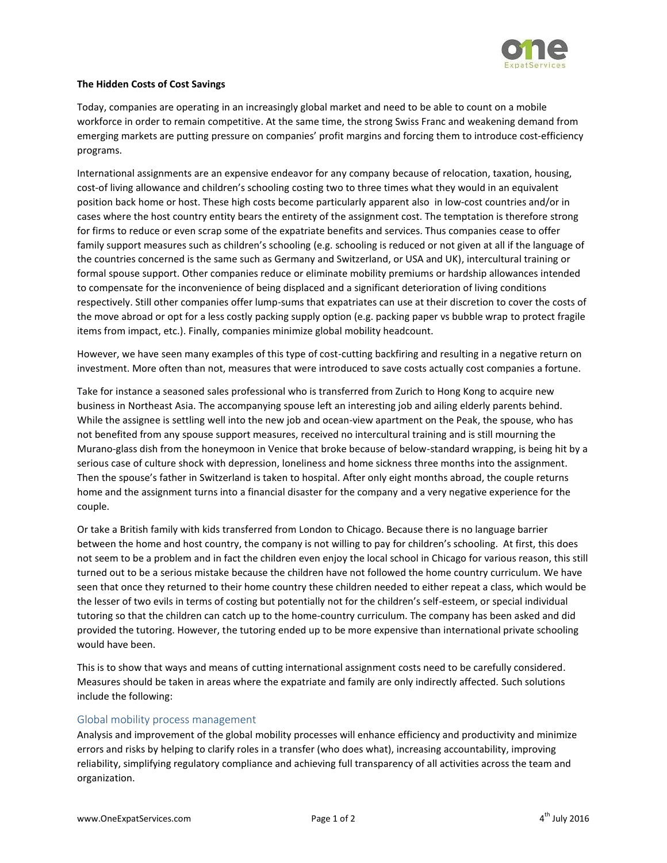

## **The Hidden Costs of Cost Savings**

Today, companies are operating in an increasingly global market and need to be able to count on a mobile workforce in order to remain competitive. At the same time, the strong Swiss Franc and weakening demand from emerging markets are putting pressure on companies' profit margins and forcing them to introduce cost-efficiency programs.

International assignments are an expensive endeavor for any company because of relocation, taxation, housing, cost-of living allowance and children's schooling costing two to three times what they would in an equivalent position back home or host. These high costs become particularly apparent also in low-cost countries and/or in cases where the host country entity bears the entirety of the assignment cost. The temptation is therefore strong for firms to reduce or even scrap some of the expatriate benefits and services. Thus companies cease to offer family support measures such as children's schooling (e.g. schooling is reduced or not given at all if the language of the countries concerned is the same such as Germany and Switzerland, or USA and UK), intercultural training or formal spouse support. Other companies reduce or eliminate mobility premiums or hardship allowances intended to compensate for the inconvenience of being displaced and a significant deterioration of living conditions respectively. Still other companies offer lump-sums that expatriates can use at their discretion to cover the costs of the move abroad or opt for a less costly packing supply option (e.g. packing paper vs bubble wrap to protect fragile items from impact, etc.). Finally, companies minimize global mobility headcount.

However, we have seen many examples of this type of cost-cutting backfiring and resulting in a negative return on investment. More often than not, measures that were introduced to save costs actually cost companies a fortune.

Take for instance a seasoned sales professional who is transferred from Zurich to Hong Kong to acquire new business in Northeast Asia. The accompanying spouse left an interesting job and ailing elderly parents behind. While the assignee is settling well into the new job and ocean-view apartment on the Peak, the spouse, who has not benefited from any spouse support measures, received no intercultural training and is still mourning the Murano-glass dish from the honeymoon in Venice that broke because of below-standard wrapping, is being hit by a serious case of culture shock with depression, loneliness and home sickness three months into the assignment. Then the spouse's father in Switzerland is taken to hospital. After only eight months abroad, the couple returns home and the assignment turns into a financial disaster for the company and a very negative experience for the couple.

Or take a British family with kids transferred from London to Chicago. Because there is no language barrier between the home and host country, the company is not willing to pay for children's schooling. At first, this does not seem to be a problem and in fact the children even enjoy the local school in Chicago for various reason, this still turned out to be a serious mistake because the children have not followed the home country curriculum. We have seen that once they returned to their home country these children needed to either repeat a class, which would be the lesser of two evils in terms of costing but potentially not for the children's self-esteem, or special individual tutoring so that the children can catch up to the home-country curriculum. The company has been asked and did provided the tutoring. However, the tutoring ended up to be more expensive than international private schooling would have been.

This is to show that ways and means of cutting international assignment costs need to be carefully considered. Measures should be taken in areas where the expatriate and family are only indirectly affected. Such solutions include the following:

#### Global mobility process management

Analysis and improvement of the global mobility processes will enhance efficiency and productivity and minimize errors and risks by helping to clarify roles in a transfer (who does what), increasing accountability, improving reliability, simplifying regulatory compliance and achieving full transparency of all activities across the team and organization.